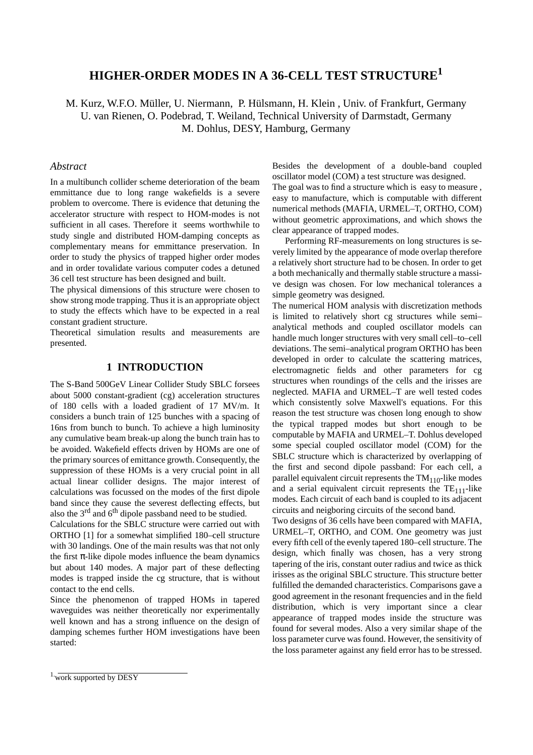# **HIGHER-ORDER MODES IN A 36-CELL TEST STRUCTURE1**

M. Kurz, W.F.O. Müller, U. Niermann, P. Hülsmann, H. Klein , Univ. of Frankfurt, Germany U. van Rienen, O. Podebrad, T. Weiland, Technical University of Darmstadt, Germany M. Dohlus, DESY, Hamburg, Germany

#### *Abstract*

In a multibunch collider scheme deterioration of the beam emmittance due to long range wakefields is a severe problem to overcome. There is evidence that detuning the accelerator structure with respect to HOM-modes is not sufficient in all cases. Therefore it seems worthwhile to study single and distributed HOM-damping concepts as complementary means for emmittance preservation. In order to study the physics of trapped higher order modes and in order tovalidate various computer codes a detuned 36 cell test structure has been designed and built.

The physical dimensions of this structure were chosen to show strong mode trapping. Thus it is an appropriate object to study the effects which have to be expected in a real constant gradient structure.

Theoretical simulation results and measurements are presented.

# **1 INTRODUCTION**

The S-Band 500GeV Linear Collider Study SBLC forsees about 5000 constant-gradient (cg) acceleration structures of 180 cells with a loaded gradient of 17 MV/m. It considers a bunch train of 125 bunches with a spacing of 16ns from bunch to bunch. To achieve a high luminosity any cumulative beam break-up along the bunch train has to be avoided. Wakefield effects driven by HOMs are one of the primary sources of emittance growth. Consequently, the suppression of these HOMs is a very crucial point in all actual linear collider designs. The major interest of calculations was focussed on the modes of the first dipole band since they cause the severest deflecting effects, but also the  $3<sup>rd</sup>$  and  $6<sup>th</sup>$  dipole passband need to be studied.

Calculations for the SBLC structure were carried out with ORTHO [1] for a somewhat simplified 180–cell structure with 30 landings. One of the main results was that not only the first  $\pi$ -like dipole modes influence the beam dynamics but about 140 modes. A major part of these deflecting modes is trapped inside the cg structure, that is without contact to the end cells.

Since the phenomenon of trapped HOMs in tapered waveguides was neither theoretically nor experimentally well known and has a strong influence on the design of damping schemes further HOM investigations have been started:

Besides the development of a double-band coupled oscillator model (COM) a test structure was designed. The goal was to find a structure which is easy to measure , easy to manufacture, which is computable with different numerical methods (MAFIA, URMEL–T, ORTHO, COM) without geometric approximations, and which shows the clear appearance of trapped modes.

Performing RF-measurements on long structures is severely limited by the appearance of mode overlap therefore a relatively short structure had to be chosen. In order to get a both mechanically and thermally stable structure a massive design was chosen. For low mechanical tolerances a simple geometry was designed.

The numerical HOM analysis with discretization methods is limited to relatively short cg structures while semi– analytical methods and coupled oscillator models can handle much longer structures with very small cell–to–cell deviations. The semi–analytical program ORTHO has been developed in order to calculate the scattering matrices, electromagnetic fields and other parameters for cg structures when roundings of the cells and the irisses are neglected. MAFIA and URMEL–T are well tested codes which consistently solve Maxwell's equations. For this reason the test structure was chosen long enough to show the typical trapped modes but short enough to be computable by MAFIA and URMEL–T. Dohlus developed some special coupled oscillator model (COM) for the SBLC structure which is characterized by overlapping of the first and second dipole passband: For each cell, a parallel equivalent circuit represents the  $TM_{110}$ -like modes and a serial equivalent circuit represents the  $TE_{111}$ -like modes. Each circuit of each band is coupled to its adjacent circuits and neigboring circuits of the second band.

Two designs of 36 cells have been compared with MAFIA, URMEL–T, ORTHO, and COM. One geometry was just every fifth cell of the evenly tapered 180–cell structure. The design, which finally was chosen, has a very strong tapering of the iris, constant outer radius and twice as thick irisses as the original SBLC structure. This structure better fulfilled the demanded characteristics. Comparisons gave a good agreement in the resonant frequencies and in the field distribution, which is very important since a clear appearance of trapped modes inside the structure was found for several modes. Also a very similar shape of the loss parameter curve was found. However, the sensitivity of the loss parameter against any field error has to be stressed.

<sup>1.</sup>work supported by DESY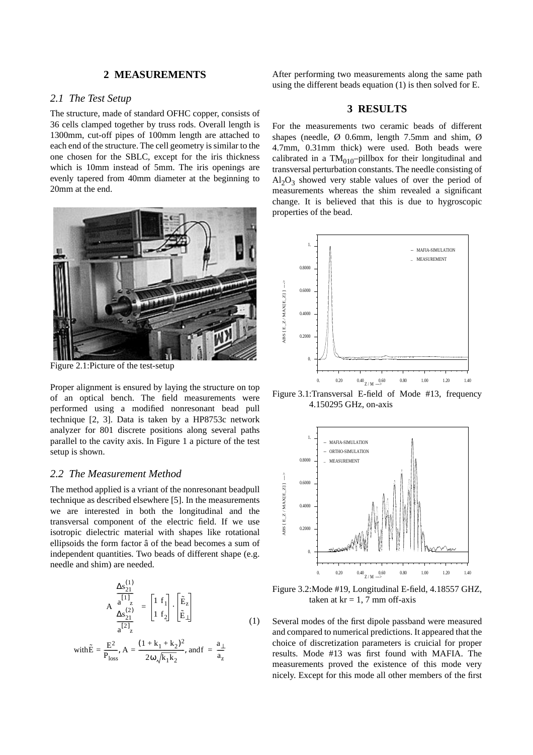## **2 MEASUREMENTS**

## *2.1 The Test Setup*

The structure, made of standard OFHC copper, consists of 36 cells clamped together by truss rods. Overall length is 1300mm, cut-off pipes of 100mm length are attached to each end of the structure. The cell geometry is similar to the one chosen for the SBLC, except for the iris thickness which is 10mm instead of 5mm. The iris openings are evenly tapered from 40mm diameter at the beginning to 20mm at the end.



Figure 2.1:Picture of the test-setup

Proper alignment is ensured by laying the structure on top of an optical bench. The field measurements were performed using a modified nonresonant bead pull technique [2, 3]. Data is taken by a HP8753c network analyzer for 801 discrete positions along several paths parallel to the cavity axis. In Figure 1 a picture of the test setup is shown.

# *2.2 The Measurement Method*

The method applied is a vriant of the nonresonant beadpull technique as described elsewhere [5]. In the measurements we are interested in both the longitudinal and the transversal component of the electric field. If we use isotropic dielectric material with shapes like rotational ellipsoids the form factor â of the bead becomes a sum of independent quantities. Two beads of different shape (e.g. needle and shim) are needed.

$$
A\begin{pmatrix} \frac{\Delta s_{21}^{(1)}}{a^{[1]}}\\ \frac{\Delta s_{21}^{(2)}}{a^{[2]}} \end{pmatrix} = \begin{bmatrix} 1 & f_1\\ 1 & f_2 \end{bmatrix} \cdot \begin{bmatrix} \tilde{E}_z\\ \tilde{E}_\perp \end{bmatrix}
$$
\n
$$
with \tilde{E} = \frac{E^2}{P_{loss}}, A = \frac{(1 + k_1 + k_2)^2}{2\omega \sqrt{k_1 k_2}}, and f = \frac{a_\perp}{a_z}
$$
\n(1)

After performing two measurements along the same path using the different beads equation (1) is then solved for E.

#### **3 RESULTS**

For the measurements two ceramic beads of different shapes (needle,  $\varnothing$  0.6mm, length 7.5mm and shim,  $\varnothing$ 4.7mm, 0.31mm thick) were used. Both beads were calibrated in a TM $_{010}$ -pillbox for their longitudinal and transversal perturbation constants. The needle consisting of  $Al_2O_3$  showed very stable values of over the period of measurements whereas the shim revealed a significant change. It is believed that this is due to hygroscopic properties of the bead.



Figure 3.1:Transversal E-field of Mode #13, frequency 4.150295 GHz, on-axis



Figure 3.2:Mode #19, Longitudinal E-field, 4.18557 GHZ, taken at  $kr = 1, 7$  mm off-axis

Several modes of the first dipole passband were measured and compared to numerical predictions. It appeared that the choice of discretization parameters is cruicial for proper results. Mode #13 was first found with MAFIA. The measurements proved the existence of this mode very nicely. Except for this mode all other members of the first